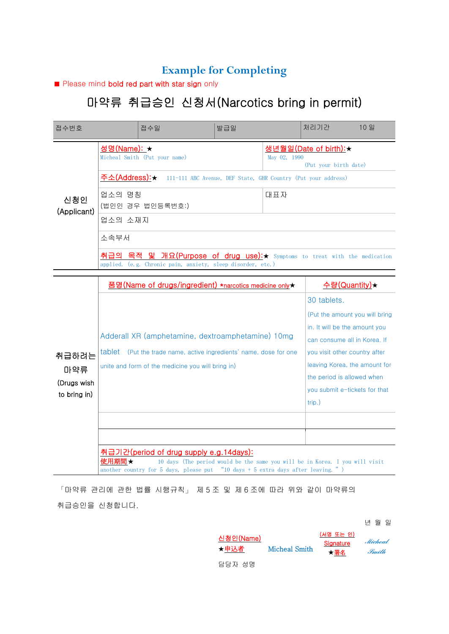## **Example for Completing**

■ Please mind bold red part with star sign only

## 마약류 취급승인 신청서(Narcotics bring in permit)

| 접수번호                        |                                                                                        | 접수일                                                                                                                                                             | 발급일                                                           |                               | 처리기간                                                   | 10 일                           |  |  |
|-----------------------------|----------------------------------------------------------------------------------------|-----------------------------------------------------------------------------------------------------------------------------------------------------------------|---------------------------------------------------------------|-------------------------------|--------------------------------------------------------|--------------------------------|--|--|
| 신청인<br>(Applicant)          | 성명(Name): ★                                                                            | Micheal Smith (Put your name)                                                                                                                                   |                                                               | May 02, 1990                  | <u> 생년월일(Date of birth):★</u><br>(Put your birth date) |                                |  |  |
|                             | <u> 주소(Address):★</u><br>111-111 ABC Avenue, DEF State, GHR Country (Put your address) |                                                                                                                                                                 |                                                               |                               |                                                        |                                |  |  |
|                             | 업소의 명칭                                                                                 | (법인인 경우 법인등록번호:)                                                                                                                                                | 대표자                                                           |                               |                                                        |                                |  |  |
|                             | 업소의 소재지                                                                                |                                                                                                                                                                 |                                                               |                               |                                                        |                                |  |  |
|                             | 소속부서                                                                                   |                                                                                                                                                                 |                                                               |                               |                                                        |                                |  |  |
|                             | 취급의                                                                                    | 목적<br>밓<br>개요(Purpose of drug use):★ Symptoms to treat with the medication<br>applied. (e.g. Chronic pain, anxiety, sleep disorder, etc.)                       |                                                               |                               |                                                        |                                |  |  |
|                             |                                                                                        | 품명(Name of drugs/ingredient) *narcotics medicine only★                                                                                                          |                                                               |                               |                                                        | 수량(Quantity)★                  |  |  |
|                             |                                                                                        |                                                                                                                                                                 |                                                               |                               | 30 tablets.                                            |                                |  |  |
|                             |                                                                                        |                                                                                                                                                                 |                                                               |                               |                                                        | (Put the amount you will bring |  |  |
|                             |                                                                                        | Adderall XR (amphetamine, dextroamphetamine) 10mg                                                                                                               |                                                               | in. It will be the amount you |                                                        |                                |  |  |
|                             |                                                                                        | tablet (Put the trade name, active ingredients' name, dose for one                                                                                              | can consume all in Korea. If<br>you visit other country after |                               |                                                        |                                |  |  |
| 취급하려는                       |                                                                                        | unite and form of the medicine you will bring in)                                                                                                               |                                                               |                               |                                                        | leaving Korea, the amount for  |  |  |
| 마약류                         |                                                                                        |                                                                                                                                                                 |                                                               |                               | the period is allowed when                             |                                |  |  |
| (Drugs wish<br>to bring in) |                                                                                        |                                                                                                                                                                 |                                                               |                               | you submit e-tickets for that                          |                                |  |  |
|                             |                                                                                        |                                                                                                                                                                 |                                                               |                               | $trip.$ )                                              |                                |  |  |
|                             |                                                                                        |                                                                                                                                                                 |                                                               |                               |                                                        |                                |  |  |
|                             |                                                                                        |                                                                                                                                                                 |                                                               |                               |                                                        |                                |  |  |
|                             |                                                                                        | 취급기간(period of drug supply e.g.14days):                                                                                                                         |                                                               |                               |                                                        |                                |  |  |
|                             | 使用期間★                                                                                  | 10 days (The period would be the same you will be in Korea. I you will visit<br>another country for 5 days, please put "10 days + 5 extra days after leaving.") |                                                               |                               |                                                        |                                |  |  |

「마약류 관리에 관한 법률 시행규칙」 제 5 조 및 제 6 조에 따라 위와 같이 마약류의 취급승인을 신청합니다.

년 월 일

| 신청인(Name)<br>★申込者 | <b>Micheal Smith</b> | (서명 또는 인)<br>Signature<br>★署名 | Micheal<br>Smith |  |
|-------------------|----------------------|-------------------------------|------------------|--|
| 담당자 성명            |                      |                               |                  |  |